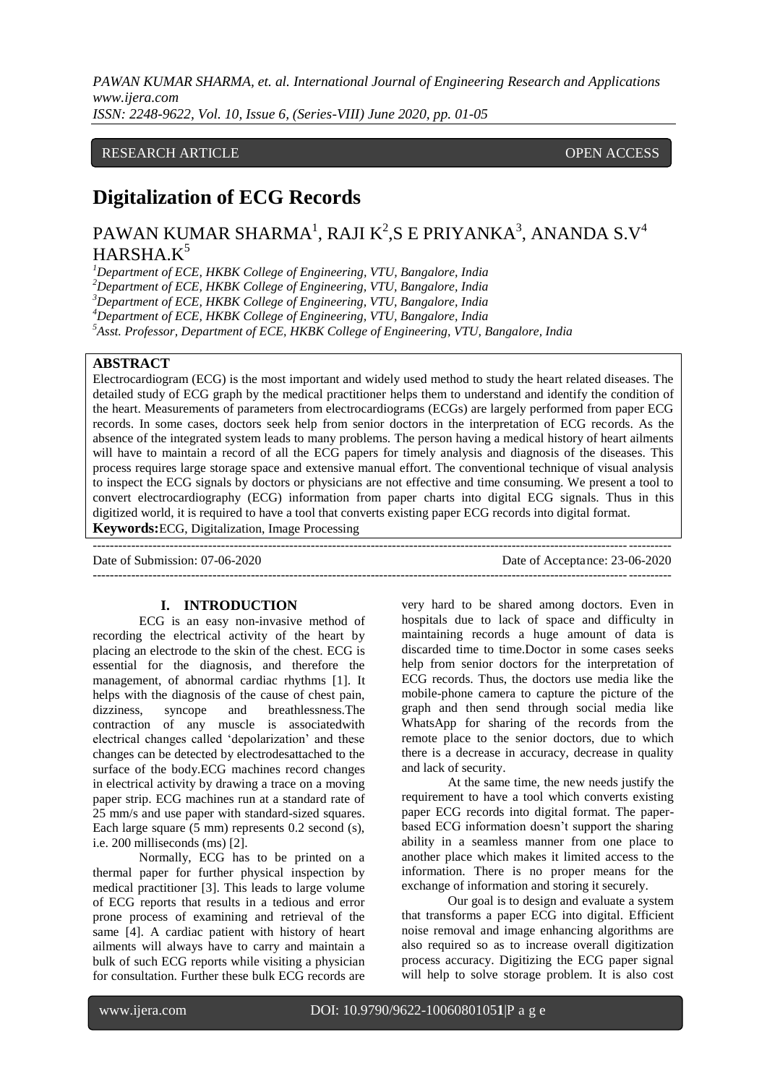*PAWAN KUMAR SHARMA, et. al. International Journal of Engineering Research and Applications www.ijera.com ISSN: 2248-9622, Vol. 10, Issue 6, (Series-VIII) June 2020, pp. 01-05*

## RESEARCH ARTICLE **CONTRACT ARTICLE** AND THE SECOND ACCESS OPEN ACCESS

# **Digitalization of ECG Records**

# PAWAN KUMAR SHARMA $^{\rm l}$ , RAJI K $^{\rm 2}$ ,S E PRIYANKA $^{\rm 3}$ , ANANDA S.V $^{\rm 4}$  $HARSHA.K<sup>5</sup>$

*Department of ECE, HKBK College of Engineering, VTU, Bangalore, India Department of ECE, HKBK College of Engineering, VTU, Bangalore, India Department of ECE, HKBK College of Engineering, VTU, Bangalore, India Department of ECE, HKBK College of Engineering, VTU, Bangalore, India*

*<sup>5</sup>Asst. Professor, Department of ECE, HKBK College of Engineering, VTU, Bangalore, India*

## **ABSTRACT**

Electrocardiogram (ECG) is the most important and widely used method to study the heart related diseases. The detailed study of ECG graph by the medical practitioner helps them to understand and identify the condition of the heart. Measurements of parameters from electrocardiograms (ECGs) are largely performed from paper ECG records. In some cases, doctors seek help from senior doctors in the interpretation of ECG records. As the absence of the integrated system leads to many problems. The person having a medical history of heart ailments will have to maintain a record of all the ECG papers for timely analysis and diagnosis of the diseases. This process requires large storage space and extensive manual effort. The conventional technique of visual analysis to inspect the ECG signals by doctors or physicians are not effective and time consuming. We present a tool to convert electrocardiography (ECG) information from paper charts into digital ECG signals. Thus in this digitized world, it is required to have a tool that converts existing paper ECG records into digital format.

---------------------------------------------------------------------------------------------------------------------------------------

**Keywords:**ECG, Digitalization, Image Processing

 $-1.1$ 

Date of Submission: 07-06-2020 Date of Acceptance: 23-06-2020

#### **I. INTRODUCTION**

ECG is an easy non-invasive method of recording the electrical activity of the heart by placing an electrode to the skin of the chest. ECG is essential for the diagnosis, and therefore the management, of abnormal cardiac rhythms [1]. It helps with the diagnosis of the cause of chest pain, dizziness, syncope and breathlessness.The contraction of any muscle is associatedwith electrical changes called "depolarization" and these changes can be detected by electrodesattached to the surface of the body.ECG machines record changes in electrical activity by drawing a trace on a moving paper strip. ECG machines run at a standard rate of 25 mm/s and use paper with standard-sized squares. Each large square  $(5 \text{ mm})$  represents 0.2 second  $(s)$ , i.e. 200 milliseconds (ms) [2].

Normally, ECG has to be printed on a thermal paper for further physical inspection by medical practitioner [3]. This leads to large volume of ECG reports that results in a tedious and error prone process of examining and retrieval of the same [4]. A cardiac patient with history of heart ailments will always have to carry and maintain a bulk of such ECG reports while visiting a physician for consultation. Further these bulk ECG records are

very hard to be shared among doctors. Even in hospitals due to lack of space and difficulty in maintaining records a huge amount of data is discarded time to time.Doctor in some cases seeks help from senior doctors for the interpretation of ECG records. Thus, the doctors use media like the mobile-phone camera to capture the picture of the graph and then send through social media like WhatsApp for sharing of the records from the remote place to the senior doctors, due to which there is a decrease in accuracy, decrease in quality and lack of security.

At the same time, the new needs justify the requirement to have a tool which converts existing paper ECG records into digital format. The paperbased ECG information doesn"t support the sharing ability in a seamless manner from one place to another place which makes it limited access to the information. There is no proper means for the exchange of information and storing it securely.

Our goal is to design and evaluate a system that transforms a paper ECG into digital. Efficient noise removal and image enhancing algorithms are also required so as to increase overall digitization process accuracy. Digitizing the ECG paper signal will help to solve storage problem. It is also cost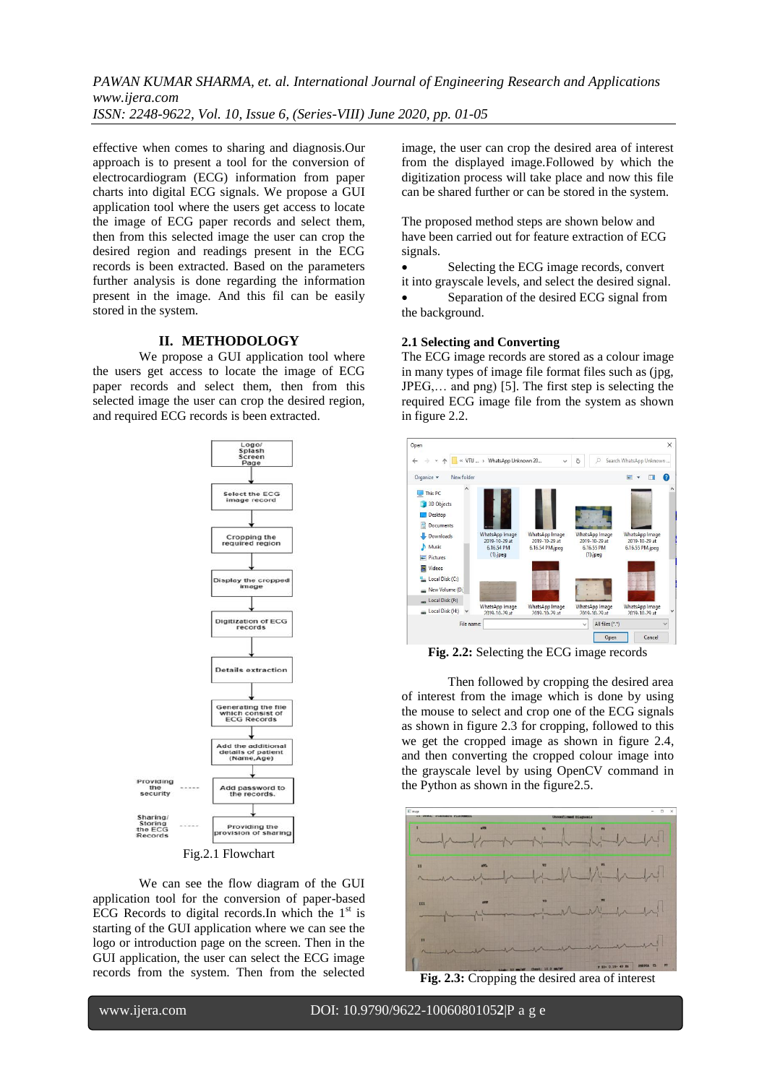*PAWAN KUMAR SHARMA, et. al. International Journal of Engineering Research and Applications www.ijera.com ISSN: 2248-9622, Vol. 10, Issue 6, (Series-VIII) June 2020, pp. 01-05*

effective when comes to sharing and diagnosis.Our approach is to present a tool for the conversion of electrocardiogram (ECG) information from paper charts into digital ECG signals. We propose a GUI application tool where the users get access to locate the image of ECG paper records and select them, then from this selected image the user can crop the desired region and readings present in the ECG records is been extracted. Based on the parameters further analysis is done regarding the information present in the image. And this fil can be easily stored in the system.

### **II. METHODOLOGY**

We propose a GUI application tool where the users get access to locate the image of ECG paper records and select them, then from this selected image the user can crop the desired region, and required ECG records is been extracted.



Fig.2.1 Flowchart

We can see the flow diagram of the GUI application tool for the conversion of paper-based ECG Records to digital records. In which the  $1<sup>st</sup>$  is starting of the GUI application where we can see the logo or introduction page on the screen. Then in the GUI application, the user can select the ECG image records from the system. Then from the selected image, the user can crop the desired area of interest from the displayed image.Followed by which the digitization process will take place and now this file can be shared further or can be stored in the system.

The proposed method steps are shown below and have been carried out for feature extraction of ECG signals.

• Selecting the ECG image records, convert it into grayscale levels, and select the desired signal.

 Separation of the desired ECG signal from the background.

#### **2.1 Selecting and Converting**

The ECG image records are stored as a colour image in many types of image file format files such as (jpg, JPEG,… and png) [5]. The first step is selecting the required ECG image file from the system as shown in figure 2.2.



**Fig. 2.2:** Selecting the ECG image records

Then followed by cropping the desired area of interest from the image which is done by using the mouse to select and crop one of the ECG signals as shown in figure 2.3 for cropping, followed to this we get the cropped image as shown in figure 2.4, and then converting the cropped colour image into the grayscale level by using OpenCV command in the Python as shown in the figure2.5.



**Fig. 2.3:** Cropping the desired area of interest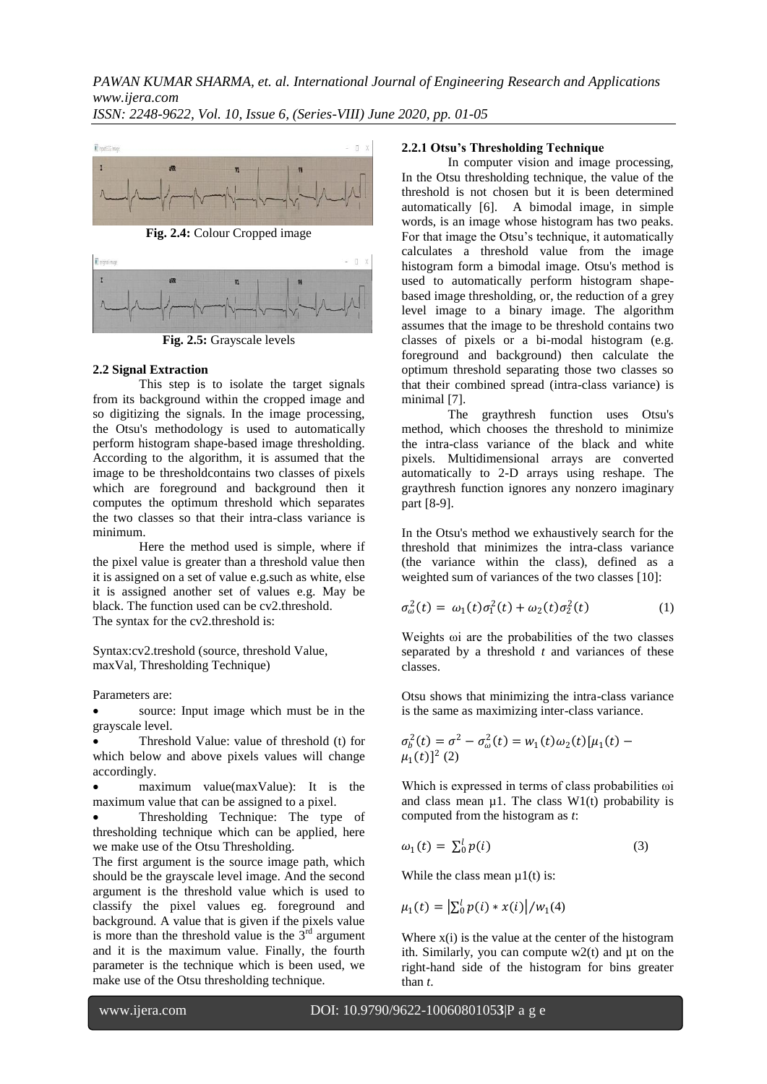

**Fig. 2.4:** Colour Cropped image



**Fig. 2.5:** Grayscale levels

## **2.2 Signal Extraction**

This step is to isolate the target signals from its background within the cropped image and so digitizing the signals. In the image processing, the Otsu's methodology is used to automatically perform histogram shape-based image thresholding. According to the algorithm, it is assumed that the image to be thresholdcontains two classes of pixels which are foreground and background then it computes the optimum threshold which separates the two classes so that their intra-class variance is minimum.

Here the method used is simple, where if the pixel value is greater than a threshold value then it is assigned on a set of value e.g.such as white, else it is assigned another set of values e.g. May be black. The function used can be cv2.threshold. The syntax for the cv2.threshold is:

Syntax:cv2.treshold (source, threshold Value, maxVal, Thresholding Technique)

Parameters are:

 source: Input image which must be in the grayscale level.

 Threshold Value: value of threshold (t) for which below and above pixels values will change accordingly.

 maximum value(maxValue): It is the maximum value that can be assigned to a pixel.

 Thresholding Technique: The type of thresholding technique which can be applied, here we make use of the Otsu Thresholding.

The first argument is the source image path, which should be the grayscale level image. And the second argument is the threshold value which is used to classify the pixel values eg. foreground and background. A value that is given if the pixels value is more than the threshold value is the  $3<sup>rd</sup>$  argument and it is the maximum value. Finally, the fourth parameter is the technique which is been used, we make use of the Otsu thresholding technique.

## **2.2.1 Otsu's Thresholding Technique**

In computer vision and image processing, In the Otsu thresholding technique, the value of the threshold is not chosen but it is been determined automatically [6]. A bimodal image, in simple words, is an image whose histogram has two peaks. For that image the Otsu"s technique, it automatically calculates a threshold value from the image histogram form a bimodal image. Otsu's method is used to automatically perform histogram shapebased image thresholding, or, the reduction of a grey level image to a binary image. The algorithm assumes that the image to be threshold contains two classes of pixels or a bi-modal histogram (e.g. foreground and background) then calculate the optimum threshold separating those two classes so that their combined spread (intra-class variance) is minimal [7].

The graythresh function uses Otsu's method, which chooses the threshold to minimize the intra-class variance of the black and white pixels. Multidimensional arrays are converted automatically to 2-D arrays using reshape. The graythresh function ignores any nonzero imaginary part [8-9].

In the Otsu's method we exhaustively search for the threshold that minimizes the intra-class variance (the variance within the class), defined as a weighted sum of variances of the two classes [10]:

$$
\sigma_{\omega}^{2}(t) = \omega_{1}(t)\sigma_{1}^{2}(t) + \omega_{2}(t)\sigma_{2}^{2}(t)
$$
 (1)

Weights  $\omega$  are the probabilities of the two classes separated by a threshold *t* and variances of these classes.

Otsu shows that minimizing the intra-class variance is the same as maximizing inter-class variance.

$$
\sigma_b^2(t) = \sigma^2 - \sigma_\omega^2(t) = w_1(t)\omega_2(t)[\mu_1(t) - \mu_1(t)]^2 (2)
$$

Which is expressed in terms of class probabilities ωi and class mean  $\mu$ 1. The class W1(t) probability is computed from the histogram as *t*:

$$
\omega_1(t) = \sum_0^l p(i) \tag{3}
$$

While the class mean  $\mu$ 1(t) is:

$$
\mu_1(t) = \left| \sum_{0}^{l} p(i) * x(i) \right| / w_1(4)
$$

Where  $x(i)$  is the value at the center of the histogram ith. Similarly, you can compute  $w2(t)$  and  $\mu t$  on the right-hand side of the histogram for bins greater than *t*.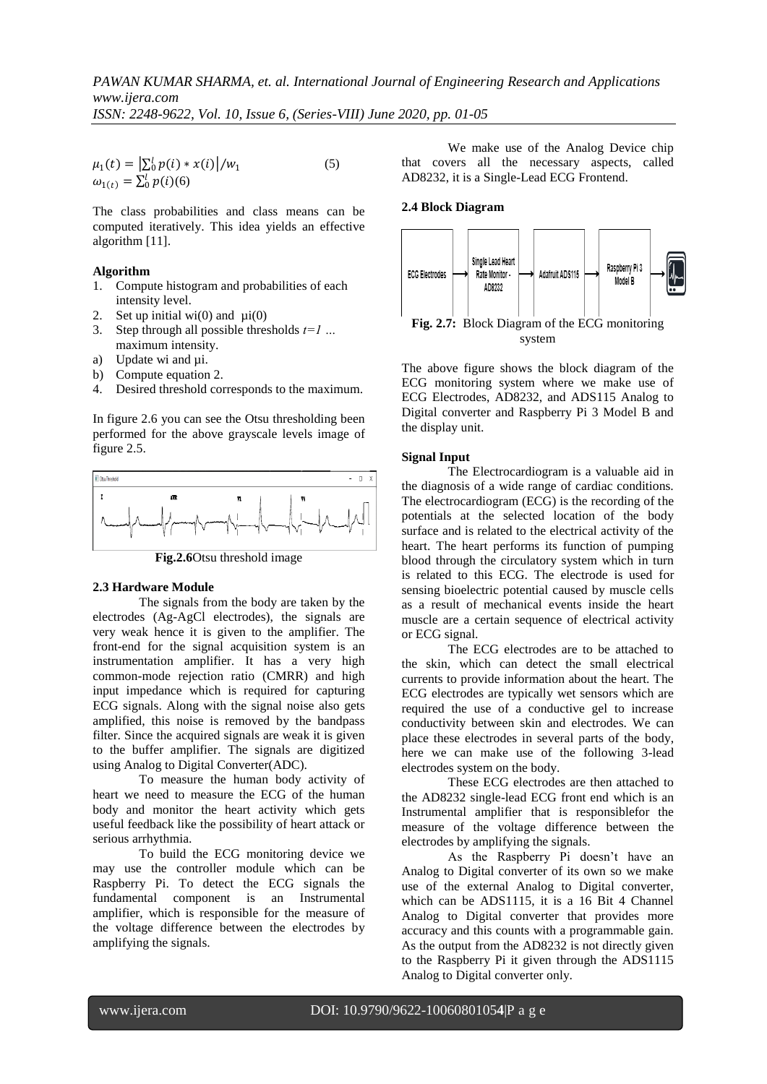$$
\mu_1(t) = \left| \sum_{0}^{l} p(i) * x(i) \right| / w_1
$$
\n
$$
\omega_{1(t)} = \sum_{0}^{l} p(i)(6)
$$
\n(5)

The class probabilities and class means can be computed iteratively. This idea yields an effective algorithm [11].

#### **Algorithm**

- 1. Compute histogram and probabilities of each intensity level.
- 2. Set up initial wi(0) and  $\mu$ i(0)
- 3. Step through all possible thresholds *t=1 …*  maximum intensity.
- a) Update wi and  $\mu$ i.
- b) Compute equation 2.
- 4. Desired threshold corresponds to the maximum.

In figure 2.6 you can see the Otsu thresholding been performed for the above grayscale levels image of figure 2.5.



**Fig.2.6**Otsu threshold image

#### **2.3 Hardware Module**

The signals from the body are taken by the electrodes (Ag-AgCl electrodes), the signals are very weak hence it is given to the amplifier. The front-end for the signal acquisition system is an instrumentation amplifier. It has a very high common-mode rejection ratio (CMRR) and high input impedance which is required for capturing ECG signals. Along with the signal noise also gets amplified, this noise is removed by the bandpass filter. Since the acquired signals are weak it is given to the buffer amplifier. The signals are digitized using Analog to Digital Converter(ADC).

To measure the human body activity of heart we need to measure the ECG of the human body and monitor the heart activity which gets useful feedback like the possibility of heart attack or serious arrhythmia.

To build the ECG monitoring device we may use the controller module which can be Raspberry Pi. To detect the ECG signals the fundamental component is an Instrumental amplifier, which is responsible for the measure of the voltage difference between the electrodes by amplifying the signals.

We make use of the Analog Device chip that covers all the necessary aspects, called AD8232, it is a Single-Lead ECG Frontend.

### **2.4 Block Diagram**



The above figure shows the block diagram of the ECG monitoring system where we make use of ECG Electrodes, AD8232, and ADS115 Analog to Digital converter and Raspberry Pi 3 Model B and the display unit.

### **Signal Input**

The Electrocardiogram is a valuable aid in the diagnosis of a wide range of cardiac conditions. The electrocardiogram (ECG) is the recording of the potentials at the selected location of the body surface and is related to the electrical activity of the heart. The heart performs its function of pumping blood through the circulatory system which in turn is related to this ECG. The electrode is used for sensing bioelectric potential caused by muscle cells as a result of mechanical events inside the heart muscle are a certain sequence of electrical activity or ECG signal.

The ECG electrodes are to be attached to the skin, which can detect the small electrical currents to provide information about the heart. The ECG electrodes are typically wet sensors which are required the use of a conductive gel to increase conductivity between skin and electrodes. We can place these electrodes in several parts of the body, here we can make use of the following 3-lead electrodes system on the body.

These ECG electrodes are then attached to the AD8232 single-lead ECG front end which is an Instrumental amplifier that is responsiblefor the measure of the voltage difference between the electrodes by amplifying the signals.

As the Raspberry Pi doesn"t have an Analog to Digital converter of its own so we make use of the external Analog to Digital converter, which can be ADS1115, it is a 16 Bit 4 Channel Analog to Digital converter that provides more accuracy and this counts with a programmable gain. As the output from the AD8232 is not directly given to the Raspberry Pi it given through the ADS1115 Analog to Digital converter only.